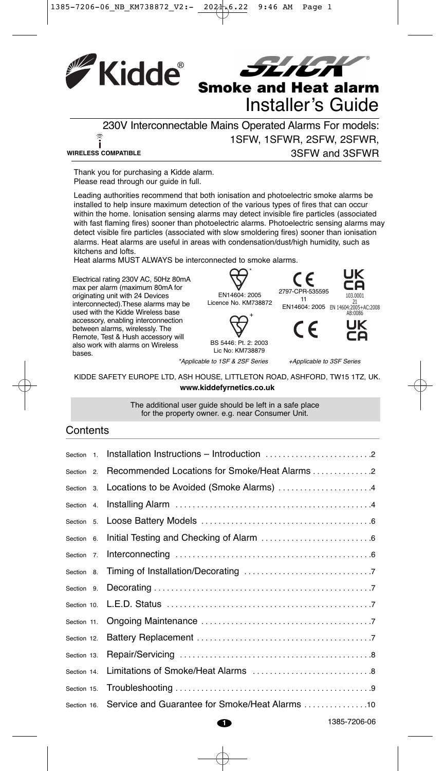



230V Interconnectable Mains Operated Alarms For models:  $\widehat{\mathbf{i}}$ 1SFW, 1SFWR, 2SFW, 2SFWR, **WIRELESS COMPATIBLE** 3SFW and 3SFWR

Thank you for purchasing a Kidde alarm. Please read through our guide in full.

Leading authorities recommend that both ionisation and photoelectric smoke alarms be installed to help insure maximum detection of the various types of fires that can occur within the home. Ionisation sensing alarms may detect invisible fire particles (associated with fast flaming fires) sooner than photoelectric alarms. Photoelectric sensing alarms may detect visible fire particles (associated with slow smoldering fires) sooner than ionisation alarms. Heat alarms are useful in areas with condensation/dust/high humidity, such as kitchens and lofts.

Heat alarms MUST ALWAYS be interconnected to smoke alarms.

Electrical rating 230V AC, 50Hz 80mA max per alarm (maximum 80mA for originating unit with 24 Devices interconnected).These alarms may be used with the Kidde Wireless base accessory, enabling interconnection between alarms, wirelessly. The Remote, Test & Hush accessory will also work with alarms on Wireless bases.



BS 5446: Pt. 2: 2003 Lic No: KM738879

\*Applicable to 1SF & 2SF Series +Applicable to 3SF Series

103.0001 AB:0086

JK

11

KIDDE SAFETY EUROPE LTD, ASH HOUSE, LITTLETON ROAD, ASHFORD, TW15 1TZ, UK. **www.kiddefyrnetics.co.uk**

> The additional user guide should be left in a safe place for the property owner. e.g. near Consumer Unit.

#### **Contents**

| Section 1.            |                                                            |              |
|-----------------------|------------------------------------------------------------|--------------|
| Section <sub>2.</sub> |                                                            |              |
|                       | Section 3. Locations to be Avoided (Smoke Alarms) 4        |              |
| Section 4.            |                                                            |              |
|                       |                                                            |              |
| Section 6.            |                                                            |              |
| Section 7.            |                                                            |              |
|                       |                                                            |              |
| Section 9.            |                                                            |              |
| Section 10.           |                                                            |              |
| Section 11.           |                                                            |              |
| Section 12.           |                                                            |              |
| Section 13.           |                                                            |              |
| Section 14.           |                                                            |              |
| Section 15.           |                                                            |              |
|                       | Section 16. Service and Guarantee for Smoke/Heat Alarms 10 |              |
|                       | Ð                                                          | 1385-7206-06 |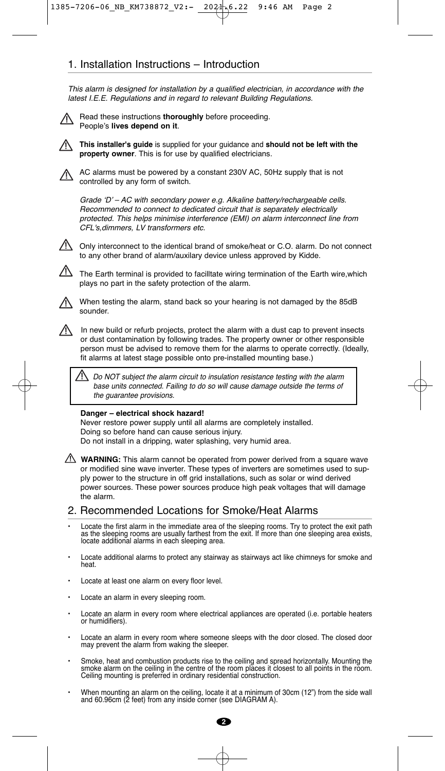## 1. Installation Instructions – Introduction

This alarm is designed for installation by a qualified electrician, in accordance with the latest I.E.E. Regulations and in regard to relevant Building Regulations.

• Read these instructions **thoroughly** before proceeding. People's **lives depend on it**.

• **This installer's guide** is supplied for your guidance and **should not be left with the property owner**. This is for use by qualified electricians.

• AC alarms must be powered by a constant 230V AC, 50Hz supply that is not controlled by any form of switch.

Grade ʻD' – AC with secondary power e.g. Alkaline battery/rechargeable cells. Recommended to connect to dedicated circuit that is separately electrically protected. This helps minimise interference (EMI) on alarm interconnect line from CFL's,dimmers, LV transformers etc.

 $\frac{1}{2}$  Only interconnect to the identical brand of smoke/heat or C.O. alarm. Do not connect to any other brand of alarm/auxilary device unless approved by Kidde.

The Earth terminal is provided to facilltate wiring termination of the Earth wire,which plays no part in the safety protection of the alarm.

• When testing the alarm, stand back so your hearing is not damaged by the 85dB sounder.

In new build or refurb projects, protect the alarm with a dust cap to prevent insects or dust contamination by following trades. The property owner or other responsible person must be advised to remove them for the alarms to operate correctly. (Ideally, fit alarms at latest stage possible onto pre-installed mounting base.)

Do NOT subject the alarm circuit to insulation resistance testing with the alarm base units connected. Failing to do so will cause damage outside the terms of the guarantee provisions.

#### **Danger – electrical shock hazard!**

Never restore power supply until all alarms are completely installed. Doing so before hand can cause serious injury. Do not install in a dripping, water splashing, very humid area.

**WARNING:** This alarm cannot be operated from power derived from a square wave or modified sine wave inverter. These types of inverters are sometimes used to supply power to the structure in off grid installations, such as solar or wind derived power sources. These power sources produce high peak voltages that will damage the alarm.

2. Recommended Locations for Smoke/Heat Alarms

- Locate the first alarm in the immediate area of the sleeping rooms. Try to protect the exit path as the sleeping rooms are usually farthest from the exit. If more than one sleeping area exists, locate additional alarms in each sleeping area.
- Locate additional alarms to protect any stairway as stairways act like chimneys for smoke and heat.
- Locate at least one alarm on every floor level.
- Locate an alarm in every sleeping room.
- Locate an alarm in every room where electrical appliances are operated (i.e. portable heaters or humidifiers).
- Locate an alarm in every room where someone sleeps with the door closed. The closed door may prevent the alarm from waking the sleeper.
- Smoke, heat and combustion products rise to the ceiling and spread horizontally. Mounting the<br>smoke alarm on the ceiling in the centre of the room places it closest to all points in the room.<br>Ceiling mounting is preferre
- When mounting an alarm on the ceiling, locate it at a minimum of 30cm (12") from the side wall and 60.96cm (2 feet) from any inside corner (see DIAGRAM A).

**2**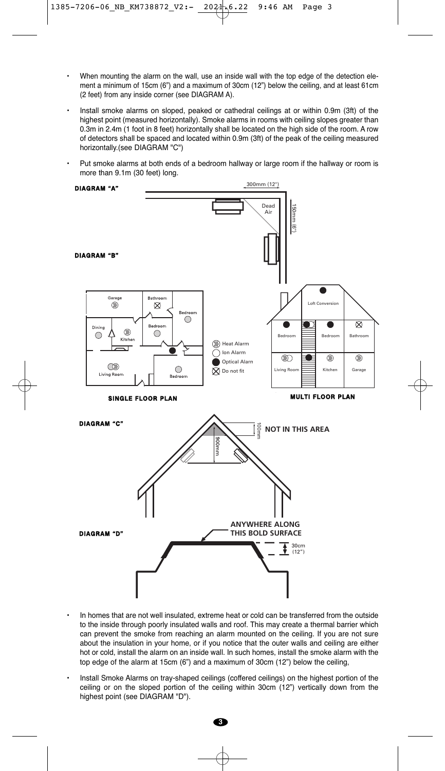- When mounting the alarm on the wall, use an inside wall with the top edge of the detection element a minimum of 15cm (6") and a maximum of 30cm (12") below the ceiling, and at least 61cm (2 feet) from any inside corner (see DIAGRAM A).
- Install smoke alarms on sloped, peaked or cathedral ceilings at or within 0.9m (3ft) of the highest point (measured horizontally). Smoke alarms in rooms with ceiling slopes greater than 0.3m in 2.4m (1 foot in 8 feet) horizontally shall be located on the high side of the room. A row of detectors shall be spaced and located within 0.9m (3ft) of the peak of the ceiling measured horizontally.(see DIAGRAM "C")
- Put smoke alarms at both ends of a bedroom hallway or large room if the hallway or room is more than 9.1m (30 feet) long.



- In homes that are not well insulated, extreme heat or cold can be transferred from the outside to the inside through poorly insulated walls and roof. This may create a thermal barrier which can prevent the smoke from reaching an alarm mounted on the ceiling. If you are not sure about the insulation in your home, or if you notice that the outer walls and ceiling are either hot or cold, install the alarm on an inside wall. In such homes, install the smoke alarm with the top edge of the alarm at 15cm (6") and a maximum of 30cm (12") below the ceiling,
- Install Smoke Alarms on tray-shaped ceilings (coffered ceilings) on the highest portion of the ceiling or on the sloped portion of the ceiling within 30cm (12") vertically down from the highest point (see DIAGRAM "D").

**3**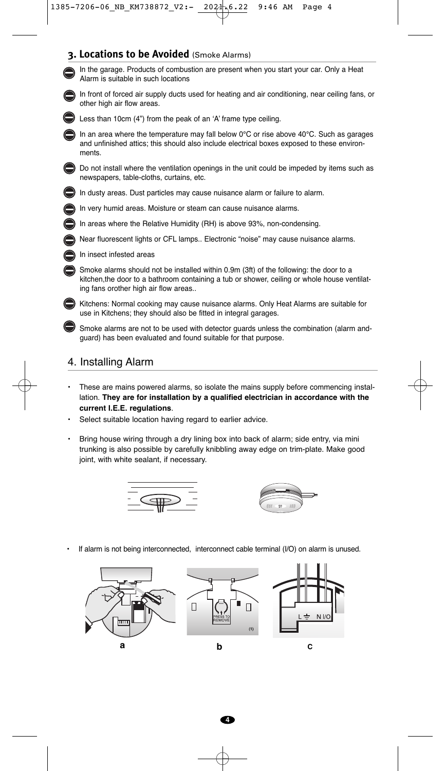**3. Locations to be Avoided** (Smoke Alarms)



• Smoke alarms are not to be used with detector guards unless the combination (alarm andguard) has been evaluated and found suitable for that purpose.

#### 4. Installing Alarm

- These are mains powered alarms, so isolate the mains supply before commencing installation. **They are for installation by a qualified electrician in accordance with the current I.E.E. regulations**.
- Select suitable location having regard to earlier advice.
- Bring house wiring through a dry lining box into back of alarm; side entry, via mini trunking is also possible by carefully knibbling away edge on trim-plate. Make good joint, with white sealant, if necessary.





If alarm is not being interconnected, interconnect cable terminal (I/O) on alarm is unused.

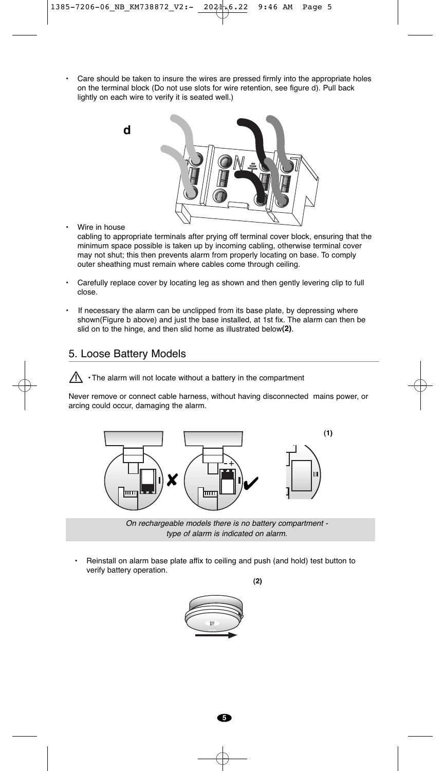• Care should be taken to insure the wires are pressed firmly into the appropriate holes on the terminal block (Do not use slots for wire retention, see figure d). Pull back lightly on each wire to verify it is seated well.)



• Wire in house

cabling to appropriate terminals after prying off terminal cover block, ensuring that the minimum space possible is taken up by incoming cabling, otherwise terminal cover may not shut; this then prevents alarm from properly locating on base. To comply outer sheathing must remain where cables come through ceiling.

- Carefully replace cover by locating leg as shown and then gently levering clip to full close.
- If necessary the alarm can be unclipped from its base plate, by depressing where shown(Figure b above) and just the base installed, at 1st fix. The alarm can then be slid on to the hinge, and then slid home as illustrated below**(2)**.

### 5. Loose Battery Models



Never remove or connect cable harness, without having disconnected mains power, or arcing could occur, damaging the alarm.



On rechargeable models there is no battery compartment type of alarm is indicated on alarm.

**(2)**

• Reinstall on alarm base plate affix to ceiling and push (and hold) test button to verify battery operation.



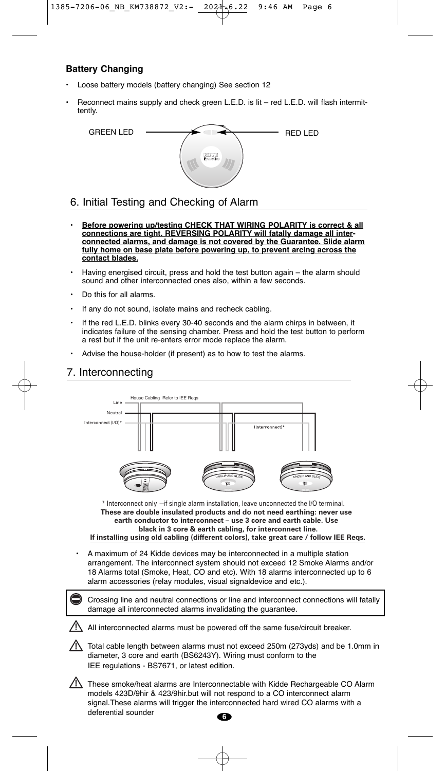# 1385-7206-06\_NB\_KM738872\_V2:- 2021.6.22 9:46 AM Page 6

### **Battery Changing**

- Loose battery models (battery changing) See section 12
- Reconnect mains supply and check green L.E.D. is lit red L.E.D. will flash intermittently.



### 6. Initial Testing and Checking of Alarm

- **Before powering up/testing CHECK THAT WIRING POLARITY is correct & all connections are tight. REVERSING POLARITY will fatally damage all interconnected alarms, and damage is not covered by the Guarantee. Slide alarm fully home on base plate before powering up, to prevent arcing across the contact blades.**
- Having energised circuit, press and hold the test button again the alarm should sound and other interconnected ones also, within a few seconds.
- Do this for all alarms.
- If any do not sound, isolate mains and recheck cabling.
- If the red L.E.D. blinks every 30-40 seconds and the alarm chirps in between, it indicates failure of the sensing chamber. Press and hold the test button to perform a rest but if the unit re-enters error mode replace the alarm.
- Advise the house-holder (if present) as to how to test the alarms.

## 7. Interconnecting



\* Interconnect only —if single alarm installation, leave unconnected the I/O terminal. **These are double insulated products and do not need earthing: never use earth conductor to interconnect – use 3 core and earth cable. Use black in 3 core & earth cabling, for interconnect line.**

**If installing using old cabling (different colors), take great care / follow IEE Reqs.**

• A maximum of 24 Kidde devices may be interconnected in a multiple station arrangement. The interconnect system should not exceed 12 Smoke Alarms and/or 18 Alarms total (Smoke, Heat, CO and etc). With 18 alarms interconnected up to 6 alarm accessories (relay modules, visual signaldevice and etc.).

• Crossing line and neutral connections or line and interconnect connections will fatally damage all interconnected alarms invalidating the guarantee.

All interconnected alarms must be powered off the same fuse/circuit breaker.

- $\sqrt{!}$  Total cable length between alarms must not exceed 250m (273yds) and be 1.0mm in diameter, 3 core and earth (BS6243Y). Wiring must conform to the IEE regulations - BS7671, or latest edition.
- These smoke/heat alarms are Interconnectable with Kidde Rechargeable CO Alarm models 423D/9hir & 423/9hir.but will not respond to a CO interconnect alarm signal.These alarms will trigger the interconnected hard wired CO alarms with a deferential sounder **6**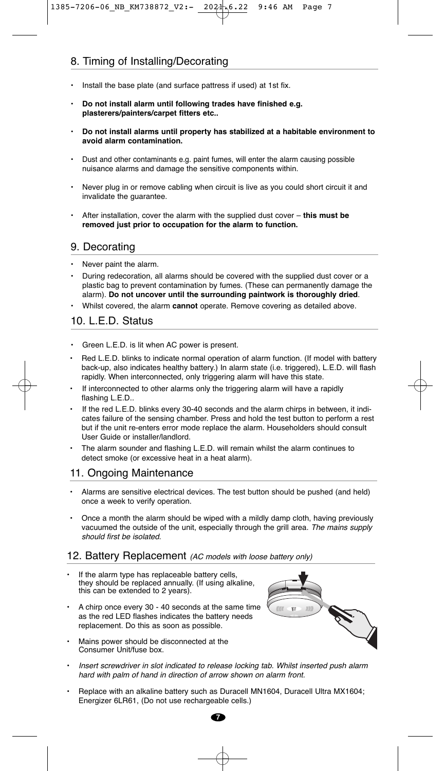# 8. Timing of Installing/Decorating

- Install the base plate (and surface pattress if used) at 1st fix.
- **Do not install alarm until following trades have finished e.g. plasterers/painters/carpet fitters etc..**
- **Do not install alarms until property has stabilized at a habitable environment to avoid alarm contamination.**
- Dust and other contaminants e.g. paint fumes, will enter the alarm causing possible nuisance alarms and damage the sensitive components within.
- Never plug in or remove cabling when circuit is live as you could short circuit it and invalidate the guarantee.
- After installation, cover the alarm with the supplied dust cover **this must be removed just prior to occupation for the alarm to function.**

## 9. Decorating

- Never paint the alarm.
- During redecoration, all alarms should be covered with the supplied dust cover or a plastic bag to prevent contamination by fumes. (These can permanently damage the alarm). **Do not uncover until the surrounding paintwork is thoroughly dried**.
- Whilst covered, the alarm **cannot** operate. Remove covering as detailed above.

# 10. L.E.D. Status

- Green L.E.D. is lit when AC power is present.
- Red L.E.D. blinks to indicate normal operation of alarm function. (If model with battery back-up, also indicates healthy battery.) In alarm state (i.e. triggered), L.E.D. will flash rapidly. When interconnected, only triggering alarm will have this state.
- If interconnected to other alarms only the triggering alarm will have a rapidly flashing L.E.D..
- If the red L.E.D. blinks every 30-40 seconds and the alarm chirps in between, it indicates failure of the sensing chamber. Press and hold the test button to perform a rest but if the unit re-enters error mode replace the alarm. Householders should consult User Guide or installer/landlord.
- The alarm sounder and flashing L.E.D. will remain whilst the alarm continues to detect smoke (or excessive heat in a heat alarm).

# 11. Ongoing Maintenance

- Alarms are sensitive electrical devices. The test button should be pushed (and held) once a week to verify operation.
- Once a month the alarm should be wiped with a mildly damp cloth, having previously vacuumed the outside of the unit, especially through the grill area. The mains supply should first be isolated.

#### 12. Battery Replacement (AC models with loose battery only)

- If the alarm type has replaceable battery cells, they should be replaced annually. (If using alkaline, this can be extended to 2 years).
- A chirp once every 30 40 seconds at the same time as the red LED flashes indicates the battery needs replacement. Do this as soon as possible.
- Mains power should be disconnected at the Consumer Unit/fuse box.



- Insert screwdriver in slot indicated to release locking tab. Whilst inserted push alarm hard with palm of hand in direction of arrow shown on alarm front.
- Replace with an alkaline battery such as Duracell MN1604, Duracell Ultra MX1604; Energizer 6LR61, (Do not use rechargeable cells.)

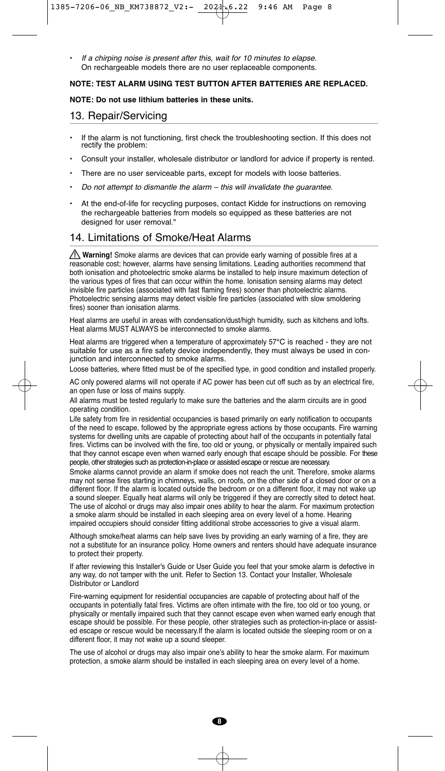If a chirping noise is present after this, wait for 10 minutes to elapse. On rechargeable models there are no user replaceable components.

#### **NOTE: TEST ALARM USING TEST BUTTON AFTER BATTERIES ARE REPLACED.**

#### **NOTE: Do not use lithium batteries in these units.**

## 13. Repair/Servicing

- If the alarm is not functioning, first check the troubleshooting section. If this does not rectify the problem:
- Consult your installer, wholesale distributor or landlord for advice if property is rented.
- There are no user serviceable parts, except for models with loose batteries.
- Do not attempt to dismantle the alarm  $-$  this will invalidate the guarantee.
- At the end-of-life for recycling purposes, contact Kidde for instructions on removing the rechargeable batteries from models so equipped as these batteries are not designed for user removal."

# 14. Limitations of Smoke/Heat Alarms

**Warning!** Smoke alarms are devices that can provide early warning of possible fires at a reasonable cost; however, alarms have sensing limitations. Leading authorities recommend that both ionisation and photoelectric smoke alarms be installed to help insure maximum detection of the various types of fires that can occur within the home. Ionisation sensing alarms may detect invisible fire particles (associated with fast flaming fires) sooner than photoelectric alarms. Photoelectric sensing alarms may detect visible fire particles (associated with slow smoldering fires) sooner than ionisation alarms.

Heat alarms are useful in areas with condensation/dust/high humidity, such as kitchens and lofts. Heat alarms MUST ALWAYS be interconnected to smoke alarms.

Heat alarms are triggered when a temperature of approximately 57°C is reached - they are not suitable for use as a fire safety device independently, they must always be used in conjunction and interconnected to smoke alarms.

Loose batteries, where fitted must be of the specified type, in good condition and installed properly.

AC only powered alarms will not operate if AC power has been cut off such as by an electrical fire, an open fuse or loss of mains supply.

All alarms must be tested regularly to make sure the batteries and the alarm circuits are in good operating condition.

Life safety from fire in residential occupancies is based primarily on early notification to occupants of the need to escape, followed by the appropriate egress actions by those occupants. Fire warning systems for dwelling units are capable of protecting about half of the occupants in potentially fatal fires. Victims can be involved with the fire, too old or young, or physically or mentally impaired such that they cannot escape even when warned early enough that escape should be possible. For these people, other strategies such as protection-in-place or assisted escape or rescue are necessary.

Smoke alarms cannot provide an alarm if smoke does not reach the unit. Therefore, smoke alarms may not sense fires starting in chimneys, walls, on roofs, on the other side of a closed door or on a different floor. If the alarm is located outside the bedroom or on a different floor, it may not wake up a sound sleeper. Equally heat alarms will only be triggered if they are correctly sited to detect heat. The use of alcohol or drugs may also impair ones ability to hear the alarm. For maximum protection a smoke alarm should be installed in each sleeping area on every level of a home. Hearing impaired occupiers should consider fitting additional strobe accessories to give a visual alarm.

Although smoke/heat alarms can help save lives by providing an early warning of a fire, they are not a substitute for an insurance policy. Home owners and renters should have adequate insurance to protect their property.

If after reviewing this Installer's Guide or User Guide you feel that your smoke alarm is defective in any way, do not tamper with the unit. Refer to Section 13. Contact your Installer, Wholesale Distributor or Landlord

Fire-warning equipment for residential occupancies are capable of protecting about half of the occupants in potentially fatal fires. Victims are often intimate with the fire, too old or too young, or physically or mentally impaired such that they cannot escape even when warned early enough that escape should be possible. For these people, other strategies such as protection-in-place or assisted escape or rescue would be necessary.If the alarm is located outside the sleeping room or on a different floor, it may not wake up a sound sleeper.

The use of alcohol or drugs may also impair one's ability to hear the smoke alarm. For maximum protection, a smoke alarm should be installed in each sleeping area on every level of a home.

**8**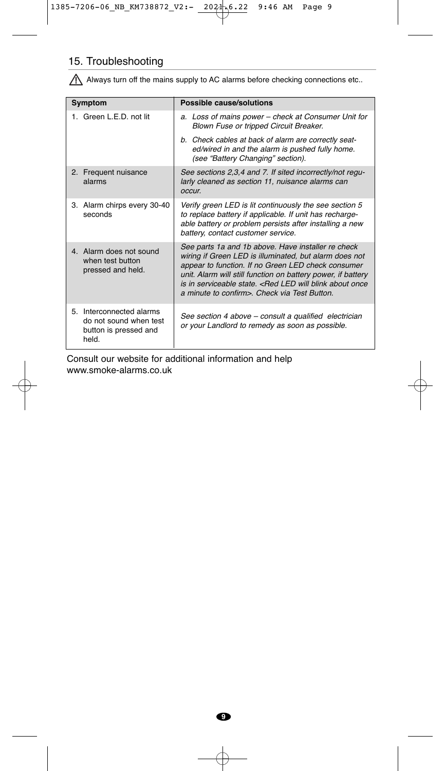# 15. Troubleshooting

Always turn off the mains supply to AC alarms before checking connections etc..

| Symptom                                                                              | Possible cause/solutions                                                                                                                                                                                                                                                                                                                                              |  |  |
|--------------------------------------------------------------------------------------|-----------------------------------------------------------------------------------------------------------------------------------------------------------------------------------------------------------------------------------------------------------------------------------------------------------------------------------------------------------------------|--|--|
| 1. Green L.F.D. not lit                                                              | a. Loss of mains power – check at Consumer Unit for<br>Blown Fuse or tripped Circuit Breaker.                                                                                                                                                                                                                                                                         |  |  |
|                                                                                      | b. Check cables at back of alarm are correctly seat-<br>ed/wired in and the alarm is pushed fully home.<br>(see "Battery Changing" section).                                                                                                                                                                                                                          |  |  |
| 2. Frequent nuisance<br>alarms                                                       | See sections 2,3,4 and 7. If sited incorrectly/not regu-<br>larly cleaned as section 11, nuisance alarms can<br>occur.                                                                                                                                                                                                                                                |  |  |
| 3. Alarm chirps every 30-40<br>seconds                                               | Verify green LED is lit continuously the see section 5<br>to replace battery if applicable. If unit has recharge-<br>able battery or problem persists after installing a new<br>battery, contact customer service.                                                                                                                                                    |  |  |
| 4. Alarm does not sound<br>when test button<br>pressed and held.                     | See parts 1a and 1b above. Have installer re check<br>wiring if Green LED is illuminated, but alarm does not<br>appear to function. If no Green LED check consumer<br>unit. Alarm will still function on battery power, if battery<br>is in serviceable state. <red about="" blink="" led="" once<br="" will="">a minute to confirm&gt;. Check via Test Button.</red> |  |  |
| 5. Interconnected alarms<br>do not sound when test<br>button is pressed and<br>held. | See section 4 above - consult a qualified electrician<br>or your Landlord to remedy as soon as possible.                                                                                                                                                                                                                                                              |  |  |

Consult our website for additional information and help www.smoke-alarms.co.uk

**9**

Æ